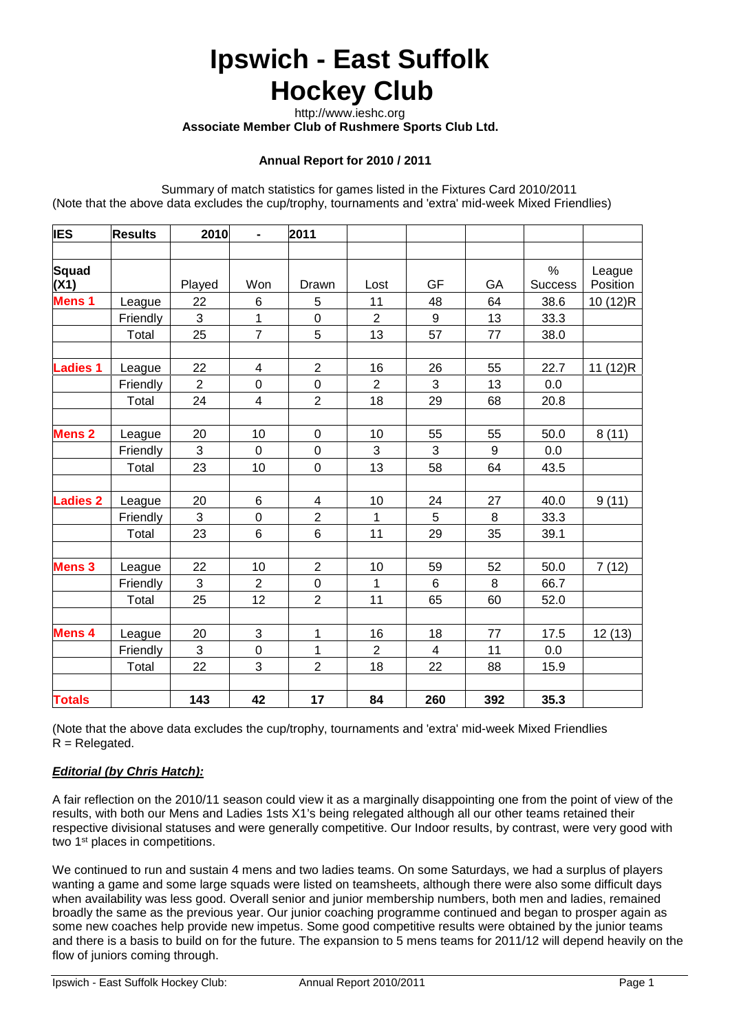# **Ipswich - East Suffolk Hockey Club**

 http://www.ieshc.org  **Associate Member Club of Rushmere Sports Club Ltd.**

# **Annual Report for 2010 / 2011**

Summary of match statistics for games listed in the Fixtures Card 2010/2011 (Note that the above data excludes the cup/trophy, tournaments and 'extra' mid-week Mixed Friendlies)

| <b>IES</b>      | <b>Results</b> | 2010           | $\blacksquare$          | 2011                     |                |                |     |                |          |
|-----------------|----------------|----------------|-------------------------|--------------------------|----------------|----------------|-----|----------------|----------|
|                 |                |                |                         |                          |                |                |     |                |          |
| Squad           |                |                |                         |                          |                |                |     | %              | League   |
| (X1)            |                | Played         | Won                     | Drawn                    | Lost           | <b>GF</b>      | GA  | <b>Success</b> | Position |
| <b>Mens 1</b>   | League         | 22             | 6                       | 5                        | 11             | 48             | 64  | 38.6           | 10 (12)R |
|                 | Friendly       | 3              | $\mathbf 1$             | $\pmb{0}$                | $\overline{2}$ | 9              | 13  | 33.3           |          |
|                 | Total          | 25             | $\overline{7}$          | 5                        | 13             | 57             | 77  | 38.0           |          |
|                 |                |                |                         |                          |                |                |     |                |          |
| <b>Ladies 1</b> | League         | 22             | 4                       | $\overline{2}$           | 16             | 26             | 55  | 22.7           | 11 (12)R |
|                 | Friendly       | $\overline{2}$ | $\mathbf 0$             | $\mathsf 0$              | $\overline{2}$ | 3              | 13  | 0.0            |          |
|                 | Total          | 24             | $\overline{\mathbf{4}}$ | $\overline{2}$           | 18             | 29             | 68  | 20.8           |          |
|                 |                |                |                         |                          |                |                |     |                |          |
| <b>Mens 2</b>   | League         | 20             | 10                      | $\pmb{0}$                | 10             | 55             | 55  | 50.0           | 8(11)    |
|                 | Friendly       | 3              | $\mathbf 0$             | $\pmb{0}$                | 3              | 3              | 9   | 0.0            |          |
|                 | Total          | 23             | 10                      | $\mathbf 0$              | 13             | 58             | 64  | 43.5           |          |
|                 |                |                |                         |                          |                |                |     |                |          |
| <b>Ladies 2</b> | League         | 20             | 6                       | $\overline{\mathcal{A}}$ | 10             | 24             | 27  | 40.0           | 9(11)    |
|                 | Friendly       | 3              | $\pmb{0}$               | $\overline{2}$           | 1              | 5              | 8   | 33.3           |          |
|                 | Total          | 23             | $\,6$                   | $\,6$                    | 11             | 29             | 35  | 39.1           |          |
|                 |                |                |                         |                          |                |                |     |                |          |
| <b>Mens 3</b>   | League         | 22             | 10                      | $\overline{2}$           | 10             | 59             | 52  | 50.0           | 7(12)    |
|                 | Friendly       | 3              | $\overline{2}$          | $\mathsf 0$              | 1              | $6\phantom{1}$ | 8   | 66.7           |          |
|                 | Total          | 25             | 12                      | $\overline{2}$           | 11             | 65             | 60  | 52.0           |          |
|                 |                |                |                         |                          |                |                |     |                |          |
| Mens 4          | League         | 20             | $\sqrt{3}$              | 1                        | 16             | 18             | 77  | 17.5           | 12(13)   |
|                 | Friendly       | 3              | $\mathbf 0$             | 1                        | $\overline{2}$ | 4              | 11  | 0.0            |          |
|                 | Total          | 22             | $\mathfrak{S}$          | $\overline{2}$           | 18             | 22             | 88  | 15.9           |          |
|                 |                |                |                         |                          |                |                |     |                |          |
| <b>Totals</b>   |                | 143            | 42                      | 17                       | 84             | 260            | 392 | 35.3           |          |

(Note that the above data excludes the cup/trophy, tournaments and 'extra' mid-week Mixed Friendlies  $R =$  Relegated.

#### *Editorial (by Chris Hatch):*

A fair reflection on the 2010/11 season could view it as a marginally disappointing one from the point of view of the results, with both our Mens and Ladies 1sts X1's being relegated although all our other teams retained their respective divisional statuses and were generally competitive. Our Indoor results, by contrast, were very good with two 1<sup>st</sup> places in competitions.

We continued to run and sustain 4 mens and two ladies teams. On some Saturdays, we had a surplus of players wanting a game and some large squads were listed on teamsheets, although there were also some difficult days when availability was less good. Overall senior and junior membership numbers, both men and ladies, remained broadly the same as the previous year. Our junior coaching programme continued and began to prosper again as some new coaches help provide new impetus. Some good competitive results were obtained by the junior teams and there is a basis to build on for the future. The expansion to 5 mens teams for 2011/12 will depend heavily on the flow of juniors coming through.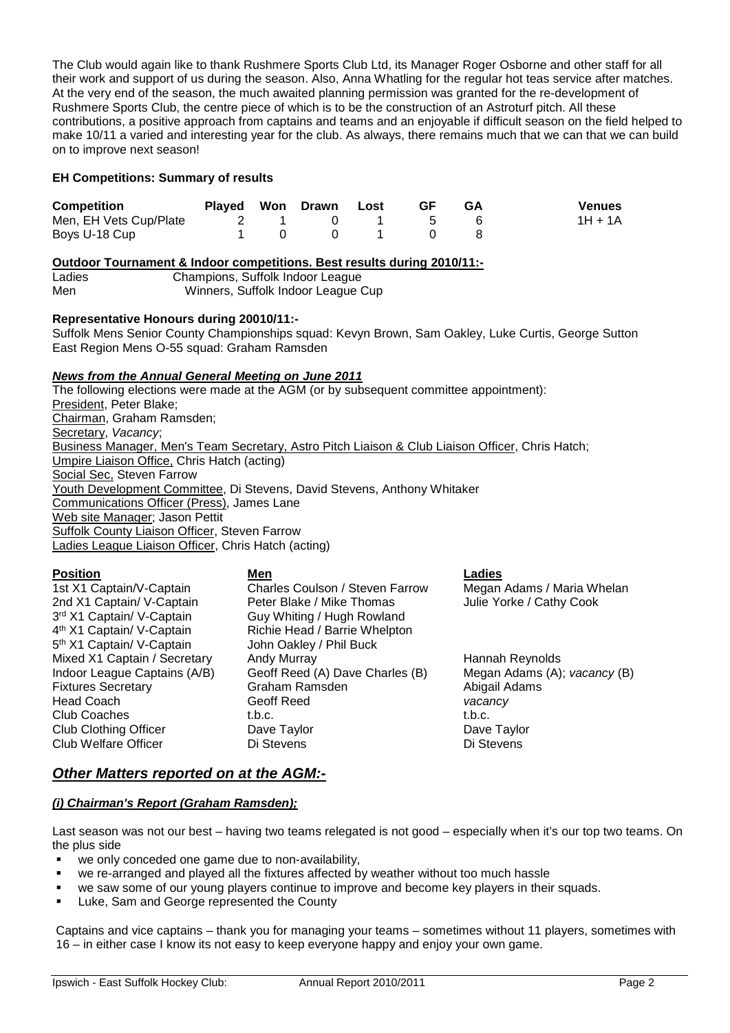The Club would again like to thank Rushmere Sports Club Ltd, its Manager Roger Osborne and other staff for all their work and support of us during the season. Also, Anna Whatling for the regular hot teas service after matches. At the very end of the season, the much awaited planning permission was granted for the re-development of Rushmere Sports Club, the centre piece of which is to be the construction of an Astroturf pitch. All these contributions, a positive approach from captains and teams and an enjoyable if difficult season on the field helped to make 10/11 a varied and interesting year for the club. As always, there remains much that we can that we can build on to improve next season!

#### **EH Competitions: Summary of results**

| <b>Competition</b>     | Played Won Drawn Lost |                                                      | <b>GF</b>                                   | <b>GA</b> | <b>Venues</b> |
|------------------------|-----------------------|------------------------------------------------------|---------------------------------------------|-----------|---------------|
| Men, EH Vets Cup/Plate |                       |                                                      | $\begin{array}{cccc} 0 & 1 & 5 \end{array}$ |           | $1H + 1A$     |
| Boys U-18 Cup          |                       | $\begin{array}{ccccccc}\n0 & 0 & 1 & 0\n\end{array}$ |                                             |           |               |

# **Outdoor Tournament & Indoor competitions. Best results during 2010/11:-**

Ladies Champions, Suffolk Indoor League Winners, Suffolk Indoor League Cup

#### **Representative Honours during 20010/11:-**

Suffolk Mens Senior County Championships squad: Kevyn Brown, Sam Oakley, Luke Curtis, George Sutton East Region Mens O-55 squad: Graham Ramsden

#### *News from the Annual General Meeting on June 2011*

The following elections were made at the AGM (or by subsequent committee appointment): President, Peter Blake: Chairman, Graham Ramsden; Secretary, *Vacancy*; Business Manager, Men's Team Secretary, Astro Pitch Liaison & Club Liaison Officer, Chris Hatch; Umpire Liaison Office, Chris Hatch (acting) Social Sec, Steven Farrow Youth Development Committee, Di Stevens, David Stevens, Anthony Whitaker Communications Officer (Press), James Lane Web site Manager; Jason Pettit **Suffolk County Liaison Officer, Steven Farrow** Ladies League Liaison Officer, Chris Hatch (acting)

#### **Position Men Ladies**

3<sup>rd</sup> X1 Captain/ V-Captain Guy Whiting / Hugh Rowland 4<sup>th</sup> X1 Captain/ V-Captain Richie Head / Barrie Whelpton 5<sup>th</sup> X1 Captain/ V-Captain John Oakley / Phil Buck

2nd X1 Captain/ V-Captain Peter Blake / Mike Thomas Julie Yorke / Cathy Cook Mixed X1 Captain / Secretary Andy Murray Hannah Reynolds<br>
Indoor League Captains (A/B) Geoff Reed (A) Dave Charles (B) Megan Adams (A); vacancy (B) Geoff Reed (A) Dave Charles (B) Fixtures Secretary **Fixtures** Secretary **Graham Ramsden** Abigail Adams Head Coach Geoff Reed *vacancy* Club Coaches t.b.c. t.b.c. Club Clothing Officer Dave Taylor Dave Taylor Club Welfare Officer Di Stevens Di Stevens

1st X1 Captain/V-Captain Charles Coulson / Steven Farrow Megan Adams / Maria Whelan

# *Other Matters reported on at the AGM:-*

# *(i) Chairman's Report (Graham Ramsden);*

Last season was not our best – having two teams relegated is not good – especially when it's our top two teams. On the plus side

- we only conceded one game due to non-availability,
- we re-arranged and played all the fixtures affected by weather without too much hassle
- we saw some of our young players continue to improve and become key players in their squads.
- Luke, Sam and George represented the County

Captains and vice captains – thank you for managing your teams – sometimes without 11 players, sometimes with 16 – in either case I know its not easy to keep everyone happy and enjoy your own game.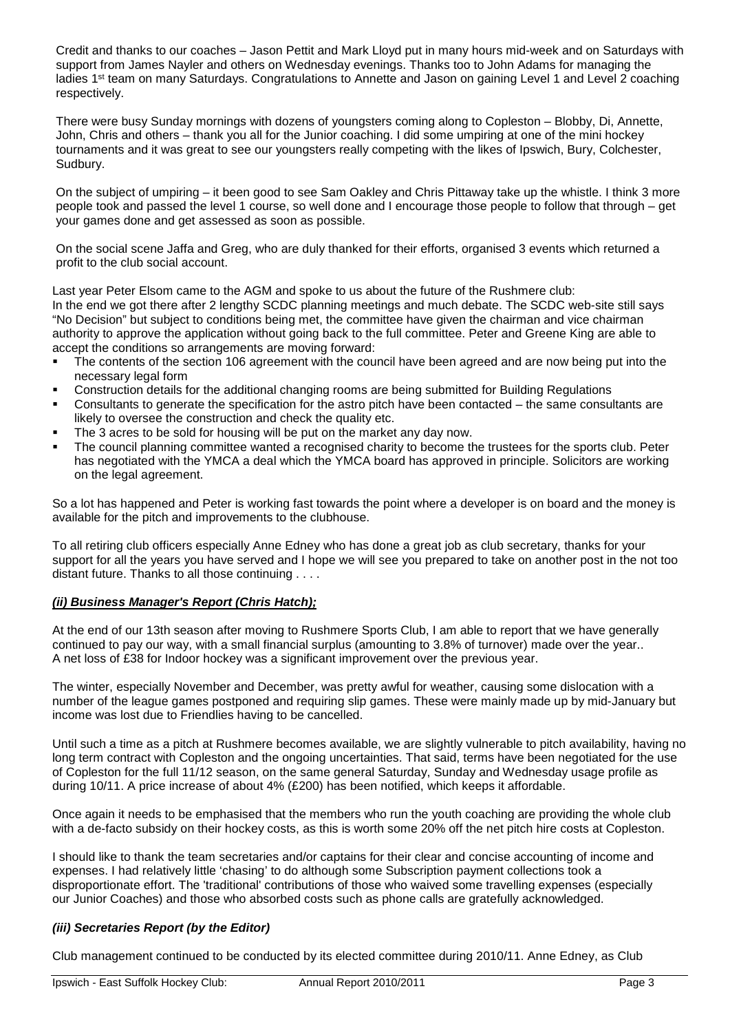Credit and thanks to our coaches – Jason Pettit and Mark Lloyd put in many hours mid-week and on Saturdays with support from James Nayler and others on Wednesday evenings. Thanks too to John Adams for managing the ladies 1<sup>st</sup> team on many Saturdays. Congratulations to Annette and Jason on gaining Level 1 and Level 2 coaching respectively.

There were busy Sunday mornings with dozens of youngsters coming along to Copleston – Blobby, Di, Annette, John, Chris and others – thank you all for the Junior coaching. I did some umpiring at one of the mini hockey tournaments and it was great to see our youngsters really competing with the likes of Ipswich, Bury, Colchester, Sudbury.

On the subject of umpiring – it been good to see Sam Oakley and Chris Pittaway take up the whistle. I think 3 more people took and passed the level 1 course, so well done and I encourage those people to follow that through – get your games done and get assessed as soon as possible.

On the social scene Jaffa and Greg, who are duly thanked for their efforts, organised 3 events which returned a profit to the club social account.

Last year Peter Elsom came to the AGM and spoke to us about the future of the Rushmere club: In the end we got there after 2 lengthy SCDC planning meetings and much debate. The SCDC web-site still says "No Decision" but subject to conditions being met, the committee have given the chairman and vice chairman authority to approve the application without going back to the full committee. Peter and Greene King are able to accept the conditions so arrangements are moving forward:

- The contents of the section 106 agreement with the council have been agreed and are now being put into the necessary legal form
- Construction details for the additional changing rooms are being submitted for Building Regulations
- Consultants to generate the specification for the astro pitch have been contacted the same consultants are likely to oversee the construction and check the quality etc.
- The 3 acres to be sold for housing will be put on the market any day now.
- The council planning committee wanted a recognised charity to become the trustees for the sports club. Peter has negotiated with the YMCA a deal which the YMCA board has approved in principle. Solicitors are working on the legal agreement.

So a lot has happened and Peter is working fast towards the point where a developer is on board and the money is available for the pitch and improvements to the clubhouse.

To all retiring club officers especially Anne Edney who has done a great job as club secretary, thanks for your support for all the years you have served and I hope we will see you prepared to take on another post in the not too distant future. Thanks to all those continuing . . . .

#### *(ii) Business Manager's Report (Chris Hatch);*

At the end of our 13th season after moving to Rushmere Sports Club, I am able to report that we have generally continued to pay our way, with a small financial surplus (amounting to 3.8% of turnover) made over the year.. A net loss of £38 for Indoor hockey was a significant improvement over the previous year.

The winter, especially November and December, was pretty awful for weather, causing some dislocation with a number of the league games postponed and requiring slip games. These were mainly made up by mid-January but income was lost due to Friendlies having to be cancelled.

Until such a time as a pitch at Rushmere becomes available, we are slightly vulnerable to pitch availability, having no long term contract with Copleston and the ongoing uncertainties. That said, terms have been negotiated for the use of Copleston for the full 11/12 season, on the same general Saturday, Sunday and Wednesday usage profile as during 10/11. A price increase of about 4% (£200) has been notified, which keeps it affordable.

Once again it needs to be emphasised that the members who run the youth coaching are providing the whole club with a de-facto subsidy on their hockey costs, as this is worth some 20% off the net pitch hire costs at Copleston.

I should like to thank the team secretaries and/or captains for their clear and concise accounting of income and expenses. I had relatively little 'chasing' to do although some Subscription payment collections took a disproportionate effort. The 'traditional' contributions of those who waived some travelling expenses (especially our Junior Coaches) and those who absorbed costs such as phone calls are gratefully acknowledged.

# *(iii) Secretaries Report (by the Editor)*

Club management continued to be conducted by its elected committee during 2010/11. Anne Edney, as Club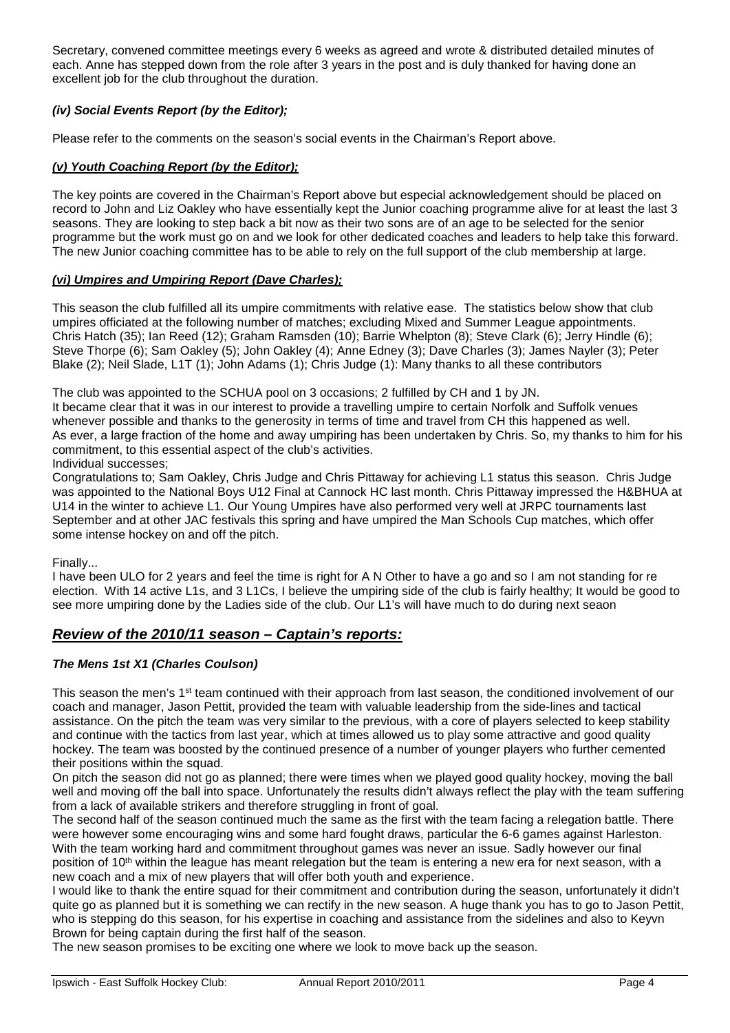Secretary, convened committee meetings every 6 weeks as agreed and wrote & distributed detailed minutes of each. Anne has stepped down from the role after 3 years in the post and is duly thanked for having done an excellent job for the club throughout the duration.

# *(iv) Social Events Report (by the Editor);*

Please refer to the comments on the season's social events in the Chairman's Report above.

# *(v) Youth Coaching Report (by the Editor);*

The key points are covered in the Chairman's Report above but especial acknowledgement should be placed on record to John and Liz Oakley who have essentially kept the Junior coaching programme alive for at least the last 3 seasons. They are looking to step back a bit now as their two sons are of an age to be selected for the senior programme but the work must go on and we look for other dedicated coaches and leaders to help take this forward. The new Junior coaching committee has to be able to rely on the full support of the club membership at large.

#### *(vi) Umpires and Umpiring Report (Dave Charles);*

This season the club fulfilled all its umpire commitments with relative ease. The statistics below show that club umpires officiated at the following number of matches; excluding Mixed and Summer League appointments. Chris Hatch (35); Ian Reed (12); Graham Ramsden (10); Barrie Whelpton (8); Steve Clark (6); Jerry Hindle (6); Steve Thorpe (6); Sam Oakley (5); John Oakley (4); Anne Edney (3); Dave Charles (3); James Nayler (3); Peter Blake (2); Neil Slade, L1T (1); John Adams (1); Chris Judge (1): Many thanks to all these contributors

The club was appointed to the SCHUA pool on 3 occasions; 2 fulfilled by CH and 1 by JN.

It became clear that it was in our interest to provide a travelling umpire to certain Norfolk and Suffolk venues whenever possible and thanks to the generosity in terms of time and travel from CH this happened as well. As ever, a large fraction of the home and away umpiring has been undertaken by Chris. So, my thanks to him for his commitment, to this essential aspect of the club's activities.

Individual successes;

Congratulations to; Sam Oakley, Chris Judge and Chris Pittaway for achieving L1 status this season. Chris Judge was appointed to the National Boys U12 Final at Cannock HC last month. Chris Pittaway impressed the H&BHUA at U14 in the winter to achieve L1. Our Young Umpires have also performed very well at JRPC tournaments last September and at other JAC festivals this spring and have umpired the Man Schools Cup matches, which offer some intense hockey on and off the pitch.

Finally...

I have been ULO for 2 years and feel the time is right for A N Other to have a go and so I am not standing for re election. With 14 active L1s, and 3 L1Cs, I believe the umpiring side of the club is fairly healthy; It would be good to see more umpiring done by the Ladies side of the club. Our L1's will have much to do during next seaon

# *Review of the 2010/11 season – Captain's reports:*

#### *The Mens 1st X1 (Charles Coulson)*

This season the men's 1<sup>st</sup> team continued with their approach from last season, the conditioned involvement of our coach and manager, Jason Pettit, provided the team with valuable leadership from the side-lines and tactical assistance. On the pitch the team was very similar to the previous, with a core of players selected to keep stability and continue with the tactics from last year, which at times allowed us to play some attractive and good quality hockey. The team was boosted by the continued presence of a number of younger players who further cemented their positions within the squad.

On pitch the season did not go as planned; there were times when we played good quality hockey, moving the ball well and moving off the ball into space. Unfortunately the results didn't always reflect the play with the team suffering from a lack of available strikers and therefore struggling in front of goal.

The second half of the season continued much the same as the first with the team facing a relegation battle. There were however some encouraging wins and some hard fought draws, particular the 6-6 games against Harleston. With the team working hard and commitment throughout games was never an issue. Sadly however our final position of 10<sup>th</sup> within the league has meant relegation but the team is entering a new era for next season, with a new coach and a mix of new players that will offer both youth and experience.

I would like to thank the entire squad for their commitment and contribution during the season, unfortunately it didn't quite go as planned but it is something we can rectify in the new season. A huge thank you has to go to Jason Pettit, who is stepping do this season, for his expertise in coaching and assistance from the sidelines and also to Keyvn Brown for being captain during the first half of the season.

The new season promises to be exciting one where we look to move back up the season.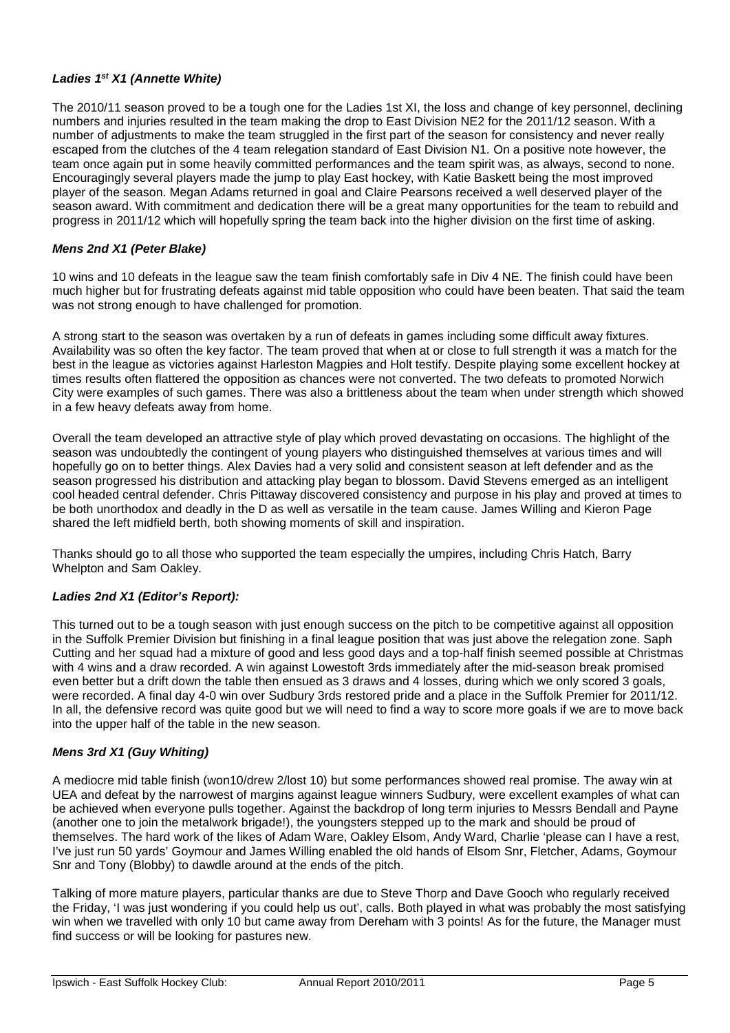# *Ladies 1st X1 (Annette White)*

The 2010/11 season proved to be a tough one for the Ladies 1st XI, the loss and change of key personnel, declining numbers and injuries resulted in the team making the drop to East Division NE2 for the 2011/12 season. With a number of adjustments to make the team struggled in the first part of the season for consistency and never really escaped from the clutches of the 4 team relegation standard of East Division N1. On a positive note however, the team once again put in some heavily committed performances and the team spirit was, as always, second to none. Encouragingly several players made the jump to play East hockey, with Katie Baskett being the most improved player of the season. Megan Adams returned in goal and Claire Pearsons received a well deserved player of the season award. With commitment and dedication there will be a great many opportunities for the team to rebuild and progress in 2011/12 which will hopefully spring the team back into the higher division on the first time of asking.

# *Mens 2nd X1 (Peter Blake)*

10 wins and 10 defeats in the league saw the team finish comfortably safe in Div 4 NE. The finish could have been much higher but for frustrating defeats against mid table opposition who could have been beaten. That said the team was not strong enough to have challenged for promotion.

A strong start to the season was overtaken by a run of defeats in games including some difficult away fixtures. Availability was so often the key factor. The team proved that when at or close to full strength it was a match for the best in the league as victories against Harleston Magpies and Holt testify. Despite playing some excellent hockey at times results often flattered the opposition as chances were not converted. The two defeats to promoted Norwich City were examples of such games. There was also a brittleness about the team when under strength which showed in a few heavy defeats away from home.

Overall the team developed an attractive style of play which proved devastating on occasions. The highlight of the season was undoubtedly the contingent of young players who distinguished themselves at various times and will hopefully go on to better things. Alex Davies had a very solid and consistent season at left defender and as the season progressed his distribution and attacking play began to blossom. David Stevens emerged as an intelligent cool headed central defender. Chris Pittaway discovered consistency and purpose in his play and proved at times to be both unorthodox and deadly in the D as well as versatile in the team cause. James Willing and Kieron Page shared the left midfield berth, both showing moments of skill and inspiration.

Thanks should go to all those who supported the team especially the umpires, including Chris Hatch, Barry Whelpton and Sam Oakley.

#### *Ladies 2nd X1 (Editor's Report):*

This turned out to be a tough season with just enough success on the pitch to be competitive against all opposition in the Suffolk Premier Division but finishing in a final league position that was just above the relegation zone. Saph Cutting and her squad had a mixture of good and less good days and a top-half finish seemed possible at Christmas with 4 wins and a draw recorded. A win against Lowestoft 3rds immediately after the mid-season break promised even better but a drift down the table then ensued as 3 draws and 4 losses, during which we only scored 3 goals, were recorded. A final day 4-0 win over Sudbury 3rds restored pride and a place in the Suffolk Premier for 2011/12. In all, the defensive record was quite good but we will need to find a way to score more goals if we are to move back into the upper half of the table in the new season.

#### *Mens 3rd X1 (Guy Whiting)*

A mediocre mid table finish (won10/drew 2/lost 10) but some performances showed real promise. The away win at UEA and defeat by the narrowest of margins against league winners Sudbury, were excellent examples of what can be achieved when everyone pulls together. Against the backdrop of long term injuries to Messrs Bendall and Payne (another one to join the metalwork brigade!), the youngsters stepped up to the mark and should be proud of themselves. The hard work of the likes of Adam Ware, Oakley Elsom, Andy Ward, Charlie 'please can I have a rest, I've just run 50 yards' Goymour and James Willing enabled the old hands of Elsom Snr, Fletcher, Adams, Goymour Snr and Tony (Blobby) to dawdle around at the ends of the pitch.

Talking of more mature players, particular thanks are due to Steve Thorp and Dave Gooch who regularly received the Friday, 'I was just wondering if you could help us out', calls. Both played in what was probably the most satisfying win when we travelled with only 10 but came away from Dereham with 3 points! As for the future, the Manager must find success or will be looking for pastures new.